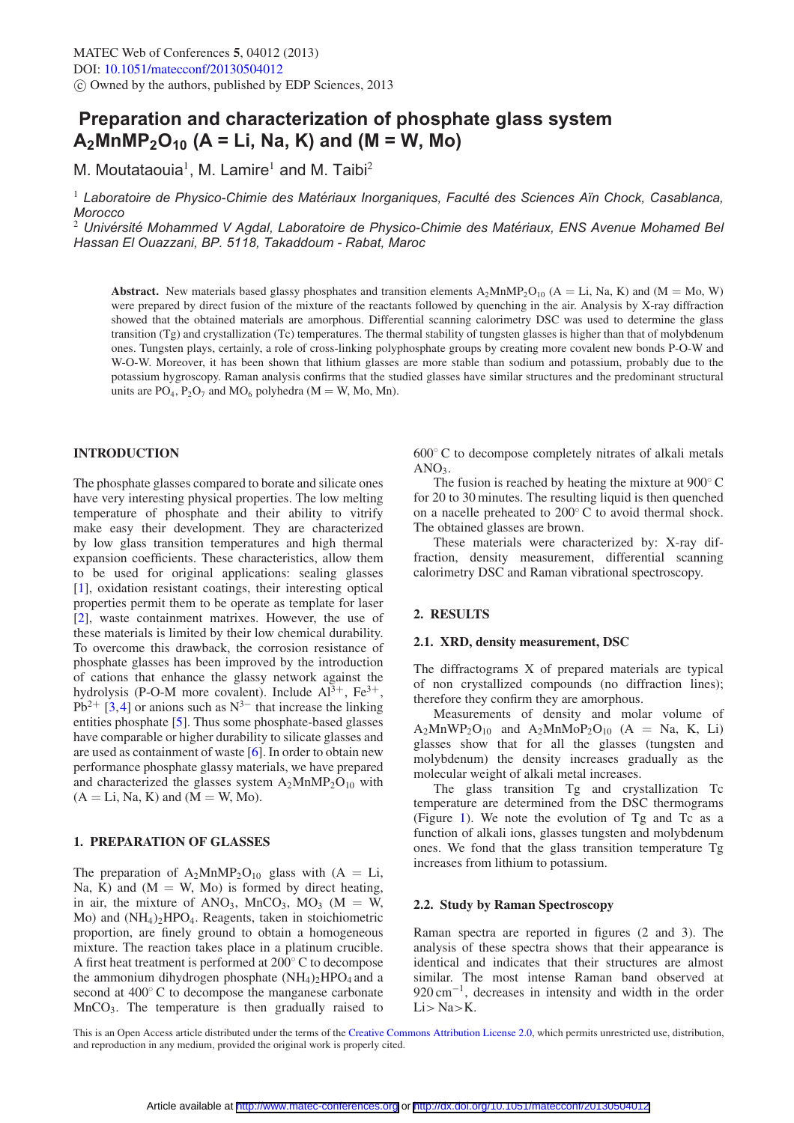# **Preparation and characterization of phosphate glass system A2MnMP2O10 (A = Li, Na, K) and (M = W, Mo)**

M. Moutataouia<sup>1</sup>, M. Lamire<sup>1</sup> and M. Taibi<sup>2</sup>

<sup>1</sup> Laboratoire de Physico-Chimie des Matériaux Inorganiques, Faculté des Sciences Aïn Chock, Casablanca, *Morocco*

<sup>2</sup> Univérsité Mohammed V Agdal, Laboratoire de Physico-Chimie des Matériaux, ENS Avenue Mohamed Bel *Hassan El Ouazzani, BP. 5118, Takaddoum - Rabat, Maroc*

**Abstract.** New materials based glassy phosphates and transition elements  $A_2MnMP_2O_{10}$  ( $A = Li$ , Na, K) and ( $M = Mo$ , W) were prepared by direct fusion of the mixture of the reactants followed by quenching in the air. Analysis by X-ray diffraction showed that the obtained materials are amorphous. Differential scanning calorimetry DSC was used to determine the glass transition (Tg) and crystallization (Tc) temperatures. The thermal stability of tungsten glasses is higher than that of molybdenum ones. Tungsten plays, certainly, a role of cross-linking polyphosphate groups by creating more covalent new bonds P-O-W and W-O-W. Moreover, it has been shown that lithium glasses are more stable than sodium and potassium, probably due to the potassium hygroscopy. Raman analysis confirms that the studied glasses have similar structures and the predominant structural units are  $PO_4$ ,  $P_2O_7$  and  $MO_6$  polyhedra (M = W, Mo, Mn).

### **INTRODUCTION**

The phosphate glasses compared to borate and silicate ones have very interesting physical properties. The low melting temperature of phosphate and their ability to vitrify make easy their development. They are characterized by low glass transition temperatures and high thermal expansion coefficients. These characteristics, allow them to be used for original applications: sealing glasses [\[1](#page-2-0)], oxidation resistant coatings, their interesting optical properties permit them to be operate as template for laser [\[2](#page-2-1)], waste containment matrixes. However, the use of these materials is limited by their low chemical durability. To overcome this drawback, the corrosion resistance of phosphate glasses has been improved by the introduction of cations that enhance the glassy network against the hydrolysis (P-O-M more covalent). Include  $Al^{3+}$ ,  $Fe^{3+}$ ,  $Pb^{2+}$  [\[3,](#page-2-2)[4](#page-2-3)] or anions such as N<sup>3−</sup> that increase the linking entities phosphate [\[5\]](#page-2-4). Thus some phosphate-based glasses have comparable or higher durability to silicate glasses and are used as containment of waste [\[6\]](#page-2-5). In order to obtain new performance phosphate glassy materials, we have prepared and characterized the glasses system  $A_2MnMP_2O_{10}$  with  $(A = Li, Na, K)$  and  $(M = W, Mo)$ .

# **1. PREPARATION OF GLASSES**

The preparation of  $A_2MnMP_2O_{10}$  glass with  $(A = Li,$ Na, K) and  $(M = W, Mo)$  is formed by direct heating, in air, the mixture of ANO<sub>3</sub>, MnCO<sub>3</sub>, MO<sub>3</sub> (M = W, Mo) and (NH4)2HPO4. Reagents, taken in stoichiometric proportion, are finely ground to obtain a homogeneous mixture. The reaction takes place in a platinum crucible. A first heat treatment is performed at 200◦ C to decompose the ammonium dihydrogen phosphate  $(NH<sub>4</sub>)<sub>2</sub>HPO<sub>4</sub>$  and a second at 400◦ C to decompose the manganese carbonate  $MnCO<sub>3</sub>$ . The temperature is then gradually raised to

600◦ C to decompose completely nitrates of alkali metals  $AND<sub>2</sub>$ 

The fusion is reached by heating the mixture at 900 $\degree$ C for 20 to 30 minutes. The resulting liquid is then quenched on a nacelle preheated to 200◦ C to avoid thermal shock. The obtained glasses are brown.

These materials were characterized by: X-ray diffraction, density measurement, differential scanning calorimetry DSC and Raman vibrational spectroscopy.

# **2. RESULTS**

# **2.1. XRD, density measurement, DSC**

The diffractograms X of prepared materials are typical of non crystallized compounds (no diffraction lines); therefore they confirm they are amorphous.

Measurements of density and molar volume of  $A_2MnWP_2O_{10}$  and  $A_2MnMoP_2O_{10}$  (A = Na, K, Li) glasses show that for all the glasses (tungsten and molybdenum) the density increases gradually as the molecular weight of alkali metal increases.

The glass transition Tg and crystallization Tc temperature are determined from the DSC thermograms (Figure [1\)](#page-1-0). We note the evolution of Tg and Tc as a function of alkali ions, glasses tungsten and molybdenum ones. We fond that the glass transition temperature Tg increases from lithium to potassium.

#### **2.2. Study by Raman Spectroscopy**

Raman spectra are reported in figures (2 and 3). The analysis of these spectra shows that their appearance is identical and indicates that their structures are almost similar. The most intense Raman band observed at  $920 \text{ cm}^{-1}$ , decreases in intensity and width in the order Li*>* Na*>*K.

This is an Open Access article distributed under the terms of the [Creative Commons Attribution License 2.0,](http://creativecommons.org/licenses/by/2.0/) which permits unrestricted use, distribution, and reproduction in any medium, provided the original work is properly cited.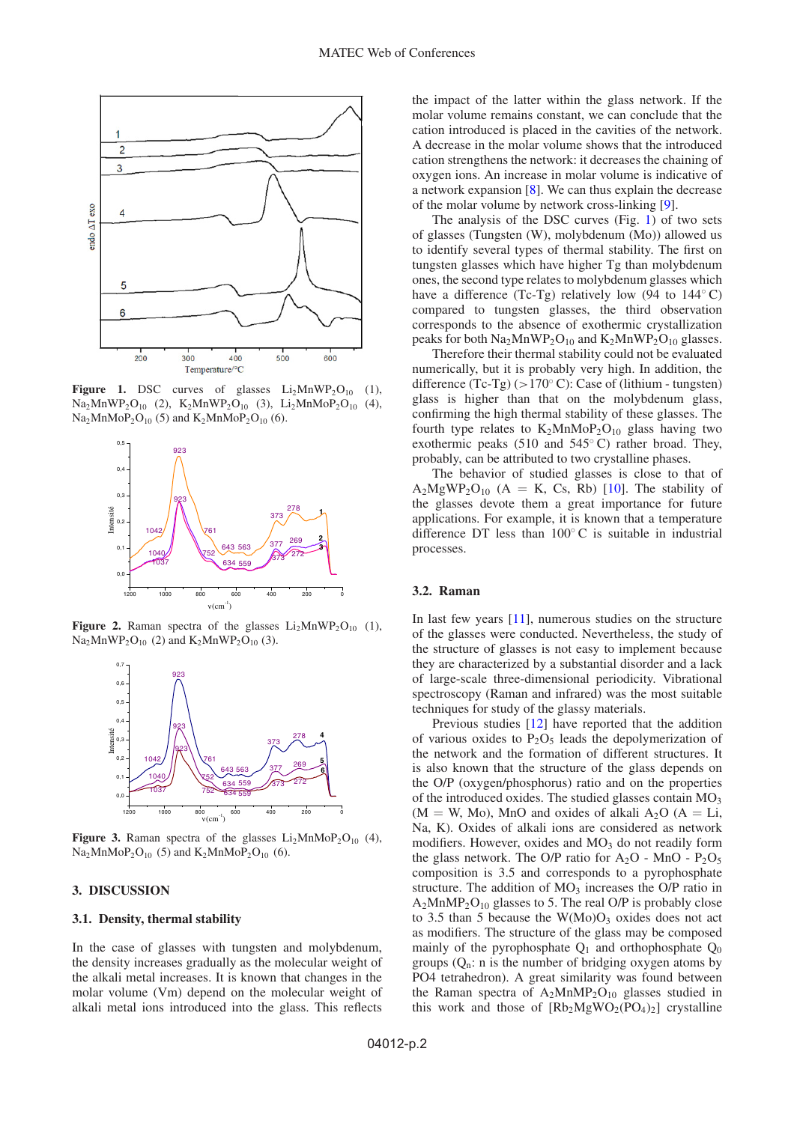<span id="page-1-0"></span>

**Figure 1.** DSC curves of glasses  $Li_2MnWP_2O_{10}$  (1),  $Na<sub>2</sub>MnWP<sub>2</sub>O<sub>10</sub>$  (2),  $K<sub>2</sub>MnWP<sub>2</sub>O<sub>10</sub>$  (3),  $Li<sub>2</sub>MnMoP<sub>2</sub>O<sub>10</sub>$  (4),  $Na<sub>2</sub>MnMoP<sub>2</sub>O<sub>10</sub>$  (5) and  $K<sub>2</sub>MnMoP<sub>2</sub>O<sub>10</sub>$  (6).



**Figure 2.** Raman spectra of the glasses  $Li<sub>2</sub>MnWP<sub>2</sub>O<sub>10</sub>$  (1),  $Na<sub>2</sub>MnWP<sub>2</sub>O<sub>10</sub>$  (2) and  $K<sub>2</sub>MnWP<sub>2</sub>O<sub>10</sub>$  (3).



**Figure 3.** Raman spectra of the glasses  $Li<sub>2</sub>MnMoP<sub>2</sub>O<sub>10</sub>$  (4),  $Na<sub>2</sub>MnMoP<sub>2</sub>O<sub>10</sub>$  (5) and  $K<sub>2</sub>MnMoP<sub>2</sub>O<sub>10</sub>$  (6).

#### **3. DISCUSSION**

#### **3.1. Density, thermal stability**

In the case of glasses with tungsten and molybdenum, the density increases gradually as the molecular weight of the alkali metal increases. It is known that changes in the molar volume (Vm) depend on the molecular weight of alkali metal ions introduced into the glass. This reflects the impact of the latter within the glass network. If the molar volume remains constant, we can conclude that the cation introduced is placed in the cavities of the network. A decrease in the molar volume shows that the introduced cation strengthens the network: it decreases the chaining of oxygen ions. An increase in molar volume is indicative of a network expansion [\[8\]](#page-2-6). We can thus explain the decrease of the molar volume by network cross-linking [\[9\]](#page-2-7).

The analysis of the DSC curves (Fig. [1\)](#page-1-0) of two sets of glasses (Tungsten (W), molybdenum (Mo)) allowed us to identify several types of thermal stability. The first on tungsten glasses which have higher Tg than molybdenum ones, the second type relates to molybdenum glasses which have a difference (Tc-Tg) relatively low (94 to  $144^\circ$ C) compared to tungsten glasses, the third observation corresponds to the absence of exothermic crystallization peaks for both  $Na<sub>2</sub>MnWP<sub>2</sub>O<sub>10</sub>$  and  $K<sub>2</sub>MnWP<sub>2</sub>O<sub>10</sub>$  glasses.

Therefore their thermal stability could not be evaluated numerically, but it is probably very high. In addition, the difference (Tc-Tg) (*>*170◦ C): Case of (lithium - tungsten) glass is higher than that on the molybdenum glass, confirming the high thermal stability of these glasses. The fourth type relates to  $K_2MnMoP_2O_{10}$  glass having two exothermic peaks (510 and 545◦ C) rather broad. They, probably, can be attributed to two crystalline phases.

The behavior of studied glasses is close to that of  $A_2MgWP_2O_{10}$  (A = K, Cs, Rb) [\[10](#page-2-8)]. The stability of the glasses devote them a great importance for future applications. For example, it is known that a temperature difference DT less than 100◦ C is suitable in industrial processes.

#### **3.2. Raman**

In last few years [\[11](#page-2-9)], numerous studies on the structure of the glasses were conducted. Nevertheless, the study of the structure of glasses is not easy to implement because they are characterized by a substantial disorder and a lack of large-scale three-dimensional periodicity. Vibrational spectroscopy (Raman and infrared) was the most suitable techniques for study of the glassy materials.

Previous studies [\[12](#page-2-10)] have reported that the addition of various oxides to  $P_2O_5$  leads the depolymerization of the network and the formation of different structures. It is also known that the structure of the glass depends on the O/P (oxygen/phosphorus) ratio and on the properties of the introduced oxides. The studied glasses contain  $MO_3$  $(M = W, Mo)$ , MnO and oxides of alkali A<sub>2</sub>O  $(A = Li,$ Na, K). Oxides of alkali ions are considered as network modifiers. However, oxides and  $MO<sub>3</sub>$  do not readily form the glass network. The O/P ratio for  $A_2O$  - MnO -  $P_2O_5$ composition is 3.5 and corresponds to a pyrophosphate structure. The addition of  $MO<sub>3</sub>$  increases the O/P ratio in  $A_2MnMP_2O_{10}$  glasses to 5. The real O/P is probably close to 3.5 than 5 because the  $W(Mo)O<sub>3</sub>$  oxides does not act as modifiers. The structure of the glass may be composed mainly of the pyrophosphate  $Q_1$  and orthophosphate  $Q_0$ groups  $(Q_n: n$  is the number of bridging oxygen atoms by PO4 tetrahedron). A great similarity was found between the Raman spectra of  $A_2MnMP_2O_{10}$  glasses studied in this work and those of  $[Rb_2MgWO_2(PO_4)_2]$  crystalline